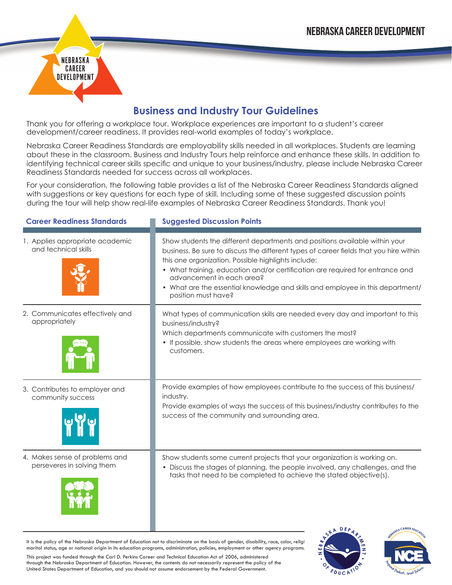## **Business and Industry Tour Guidelines**

Thank you for offering a workplace tour. Workplace experiences are important to a student's career development/career readiness. It provides real-world examples of today's workplace.

NEBRASKA CAREER DEVELOPMENT

Nebraska Career Readiness Standards are employability skills needed in all workplaces. Students are learning about these in the classroom. Business and Industry Tours help reinforce and enhance these skills. In addition to identifying technical career skills specific and unique to your business/industry, please include Nebraska Career Readiness Standards needed for success across all workplaces.

For your consideration, the following table provides a list of the Nebraska Career Readiness Standards aligned with suggestions or key questions for each type of skill. Including some of these suggested discussion points during the tour will help show real-life examples of Nebraska Career Readiness Standards. Thank you!

| <b>Career Readiness Standards</b>                            | <b>Suggested Discussion Points</b>                                                                                                                                                                                                                                                                                                                                                                                                                  |
|--------------------------------------------------------------|-----------------------------------------------------------------------------------------------------------------------------------------------------------------------------------------------------------------------------------------------------------------------------------------------------------------------------------------------------------------------------------------------------------------------------------------------------|
| 1. Applies appropriate academic<br>and technical skills      | Show students the different departments and positions available within your<br>business. Be sure to discuss the different types of career fields that you hire within<br>this one organization. Possible highlights include:<br>• What training, education and/or certification are required for entrance and<br>advancement in each area?<br>• What are the essential knowledge and skills and employee in this department/<br>position must have? |
| 2. Communicates effectively and<br>appropriately             | What types of communication skills are needed every day and important to this<br>business/industry?<br>Which departments communicate with customers the most?<br>• If possible, show students the areas where employees are working with<br>customers.                                                                                                                                                                                              |
| 3. Contributes to employer and<br>community success          | Provide examples of how employees contribute to the success of this business/<br>industry.<br>Provide examples of ways the success of this business/industry contributes to the<br>success of the community and surrounding area.                                                                                                                                                                                                                   |
| 4. Makes sense of problems and<br>perseveres in solving them | Show students some current projects that your organization is working on.<br>• Discuss the stages of planning, the people involved, any challenges, and the<br>tasks that need to be completed to achieve the stated objective(s).                                                                                                                                                                                                                  |

It is the policy of the Nebraska Department of Education not to discriminate on the basis of gender, disability, race, color, religi marital status, age or national origin in its education programs, administration, policies, employment or other agency programs.

This project was funded through the Carl D. Perkins Career and Technical Education Act of 2006, administered through the Nebraska Department of Education. However, the contents do not necessarily represent the policy of the United States Department of Education, and you should not assume endorsement by the Federal Government.